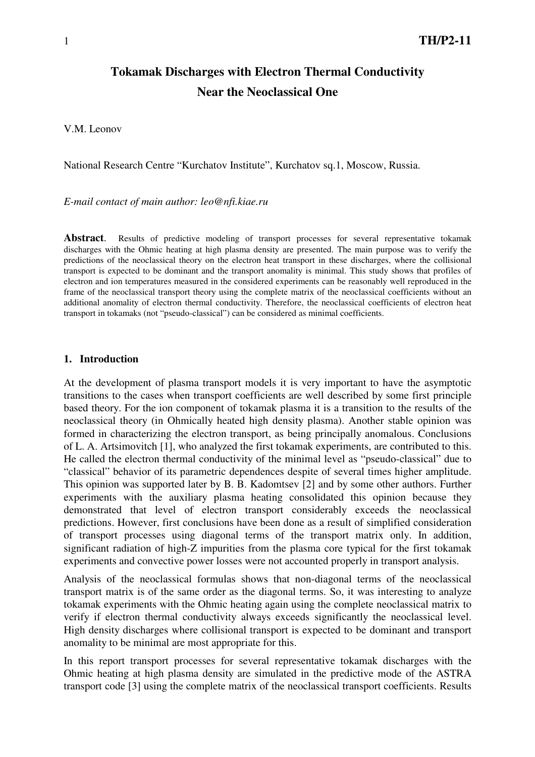# **Tokamak Discharges with Electron Thermal Conductivity Near the Neoclassical One**

V.M. Leonov

National Research Centre "Kurchatov Institute", Kurchatov sq.1, Moscow, Russia.

*E-mail contact of main author: leo@nfi.kiae.ru* 

**Abstract**. Results of predictive modeling of transport processes for several representative tokamak discharges with the Ohmic heating at high plasma density are presented. The main purpose was to verify the predictions of the neoclassical theory on the electron heat transport in these discharges, where the collisional transport is expected to be dominant and the transport anomality is minimal. This study shows that profiles of electron and ion temperatures measured in the considered experiments can be reasonably well reproduced in the frame of the neoclassical transport theory using the complete matrix of the neoclassical coefficients without an additional anomality of electron thermal conductivity. Therefore, the neoclassical coefficients of electron heat transport in tokamaks (not "pseudo-classical") can be considered as minimal coefficients.

### **1. Introduction**

At the development of plasma transport models it is very important to have the asymptotic transitions to the cases when transport coefficients are well described by some first principle based theory. For the ion component of tokamak plasma it is a transition to the results of the neoclassical theory (in Ohmically heated high density plasma). Another stable opinion was formed in characterizing the electron transport, as being principally anomalous. Conclusions of L. A. Artsimovitch [1], who analyzed the first tokamak experiments, are contributed to this. He called the electron thermal conductivity of the minimal level as "pseudo-classical" due to "classical" behavior of its parametric dependences despite of several times higher amplitude. This opinion was supported later by B. B. Kadomtsev [2] and by some other authors. Further experiments with the auxiliary plasma heating consolidated this opinion because they demonstrated that level of electron transport considerably exceeds the neoclassical predictions. However, first conclusions have been done as a result of simplified consideration of transport processes using diagonal terms of the transport matrix only. In addition, significant radiation of high-Z impurities from the plasma core typical for the first tokamak experiments and convective power losses were not accounted properly in transport analysis.

Analysis of the neoclassical formulas shows that non-diagonal terms of the neoclassical transport matrix is of the same order as the diagonal terms. So, it was interesting to analyze tokamak experiments with the Ohmic heating again using the complete neoclassical matrix to verify if electron thermal conductivity always exceeds significantly the neoclassical level. High density discharges where collisional transport is expected to be dominant and transport anomality to be minimal are most appropriate for this.

In this report transport processes for several representative tokamak discharges with the Ohmic heating at high plasma density are simulated in the predictive mode of the ASTRA transport code [3] using the complete matrix of the neoclassical transport coefficients. Results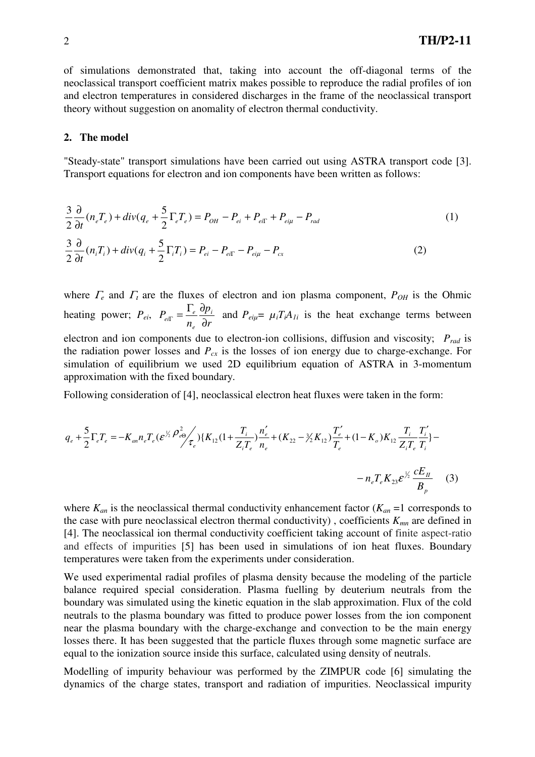of simulations demonstrated that, taking into account the off-diagonal terms of the neoclassical transport coefficient matrix makes possible to reproduce the radial profiles of ion and electron temperatures in considered discharges in the frame of the neoclassical transport theory without suggestion on anomality of electron thermal conductivity.

#### **2. The model**

"Steady-state" transport simulations have been carried out using ASTRA transport code [3]. Transport equations for electron and ion components have been written as follows:

$$
\frac{3}{2}\frac{\partial}{\partial t}(n_eT_e) + div(q_e + \frac{5}{2}\Gamma_eT_e) = P_{OH} - P_{ei} + P_{ei\Gamma} + P_{ei\mu} - P_{rad}
$$
\n
$$
\frac{3}{2}\frac{\partial}{\partial t}(n_iT_i) + div(q_i + \frac{5}{2}\Gamma_iT_i) = P_{ei} - P_{ei\Gamma} - P_{ei\mu} - P_{cx}
$$
\n(2)

where  $\Gamma_e$  and  $\Gamma_i$  are the fluxes of electron and ion plasma component,  $P_{OH}$  is the Ohmic heating power; *Pei*, *r p n*  $P_{ei\Gamma} = \frac{1_e}{2} \frac{q p_i}{r}$ *e*  $P_{ei\Gamma} = \frac{1_e}{n_e} \frac{\partial p}{\partial \Omega}$  $F = \frac{\Gamma_e}{\Gamma} \frac{\partial p_i}{\partial \Gamma}$  and  $P_{e i \mu} = \mu_i T_i A_{I_i}$  is the heat exchange terms between electron and ion components due to electron-ion collisions, diffusion and viscosity; *Prad* is the radiation power losses and  $P_{cx}$  is the losses of ion energy due to charge-exchange. For simulation of equilibrium we used 2D equilibrium equation of ASTRA in 3-momentum approximation with the fixed boundary.

Following consideration of [4], neoclassical electron heat fluxes were taken in the form:

$$
q_e + \frac{5}{2} \Gamma_e T_e = -K_{an} n_e T_e (\varepsilon^{\frac{1}{2} \rho_e^2} \rho_{\varepsilon}^2) \{K_{12} (1 + \frac{T_i}{Z_i T_e}) \frac{n_e'}{n_e} + (K_{22} - \frac{3}{2} K_{12}) \frac{T_e'}{T_e} + (1 - K_o) K_{12} \frac{T_i}{Z_i T_e} \frac{T_i'}{T_i} \} - n_e T_e K_{23} \varepsilon^{\frac{1}{2} \frac{1}{2} \frac{1}{2} \frac{1}{2} \frac{1}{2} \frac{1}{2} \frac{1}{2} \frac{1}{2} \frac{1}{2} \frac{1}{2} \frac{1}{2} \frac{1}{2} \frac{1}{2} \frac{1}{2} \frac{1}{2} \frac{1}{2} \frac{1}{2} \frac{1}{2} \frac{1}{2} \frac{1}{2} \frac{1}{2} \frac{1}{2} \frac{1}{2} \frac{1}{2} \frac{1}{2} \frac{1}{2} \frac{1}{2} \frac{1}{2} \frac{1}{2} \frac{1}{2} \frac{1}{2} \frac{1}{2} \frac{1}{2} \frac{1}{2} \frac{1}{2} \frac{1}{2} \frac{1}{2} \frac{1}{2} \frac{1}{2} \frac{1}{2} \frac{1}{2} \frac{1}{2} \frac{1}{2} \frac{1}{2} \frac{1}{2} \frac{1}{2} \frac{1}{2} \frac{1}{2} \frac{1}{2} \frac{1}{2} \frac{1}{2} \frac{1}{2} \frac{1}{2} \frac{1}{2} \frac{1}{2} \frac{1}{2} \frac{1}{2} \frac{1}{2} \frac{1}{2} \frac{1}{2} \frac{1}{2} \frac{1}{2} \frac{1}{2} \frac{1}{2} \frac{1}{2} \frac{1}{2} \frac{1}{2} \frac{1}{2} \frac{1}{2} \frac{1}{2} \frac{1}{2} \frac{1}{2} \frac{1}{2} \frac{1}{2} \frac{1}{2} \frac{1}{2} \frac{1}{2} \frac{1}{2} \frac{1}{2} \frac{1}{2} \frac{1}{2} \frac{1}{2} \frac{1}{2} \frac{1}{2} \frac{1}{2} \frac{1
$$

where  $K_{an}$  is the neoclassical thermal conductivity enhancement factor  $(K_{an} = 1$  corresponds to the case with pure neoclassical electron thermal conductivity) , coefficients *Kmn* are defined in [4]. The neoclassical ion thermal conductivity coefficient taking account of finite aspect-ratio and effects of impurities [5] has been used in simulations of ion heat fluxes. Boundary temperatures were taken from the experiments under consideration.

We used experimental radial profiles of plasma density because the modeling of the particle balance required special consideration. Plasma fuelling by deuterium neutrals from the boundary was simulated using the kinetic equation in the slab approximation. Flux of the cold neutrals to the plasma boundary was fitted to produce power losses from the ion component near the plasma boundary with the charge-exchange and convection to be the main energy losses there. It has been suggested that the particle fluxes through some magnetic surface are equal to the ionization source inside this surface, calculated using density of neutrals.

Modelling of impurity behaviour was performed by the ZIMPUR code [6] simulating the dynamics of the charge states, transport and radiation of impurities. Neoclassical impurity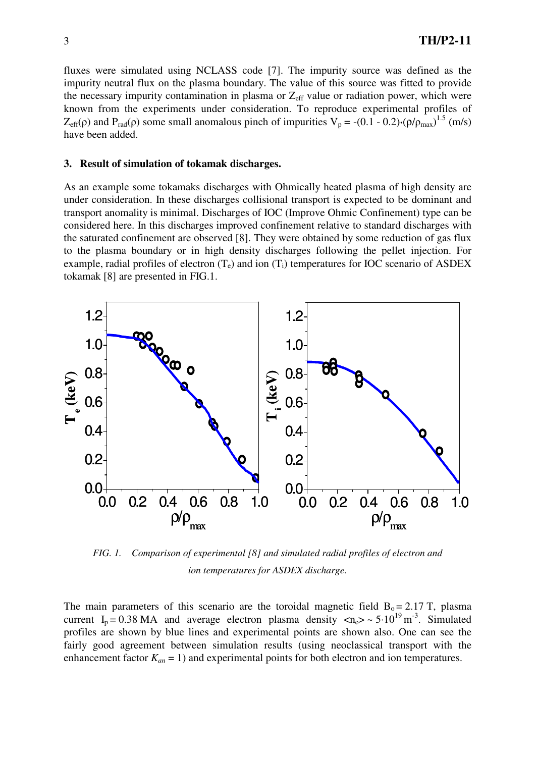fluxes were simulated using NCLASS code [7]. The impurity source was defined as the impurity neutral flux on the plasma boundary. The value of this source was fitted to provide the necessary impurity contamination in plasma or  $Z_{\text{eff}}$  value or radiation power, which were known from the experiments under consideration. To reproduce experimental profiles of  $Z_{\text{eff}}(\rho)$  and P<sub>rad</sub>( $\rho$ ) some small anomalous pinch of impurities V<sub>p</sub> = -(0.1 - 0.2)⋅( $\rho/\rho_{\text{max}}$ )<sup>1.5</sup> (m/s) have been added.

#### **3. Result of simulation of tokamak discharges.**

As an example some tokamaks discharges with Ohmically heated plasma of high density are under consideration. In these discharges collisional transport is expected to be dominant and transport anomality is minimal. Discharges of IOC (Improve Ohmic Confinement) type can be considered here. In this discharges improved confinement relative to standard discharges with the saturated confinement are observed [8]. They were obtained by some reduction of gas flux to the plasma boundary or in high density discharges following the pellet injection. For example, radial profiles of electron  $(T_e)$  and ion  $(T_i)$  temperatures for IOC scenario of ASDEX tokamak [8] are presented in FIG.1.



*FIG. 1. Comparison of experimental [8] and simulated radial profiles of electron and ion temperatures for ASDEX discharge.*

The main parameters of this scenario are the toroidal magnetic field  $B_0 = 2.17$  T, plasma current  $I_p = 0.38 \text{ MA}$  and average electron plasma density  $\langle n_e \rangle \sim 5 \cdot 10^{19} \text{ m}^{-3}$ . Simulated profiles are shown by blue lines and experimental points are shown also. One can see the fairly good agreement between simulation results (using neoclassical transport with the enhancement factor  $K_{an} = 1$ ) and experimental points for both electron and ion temperatures.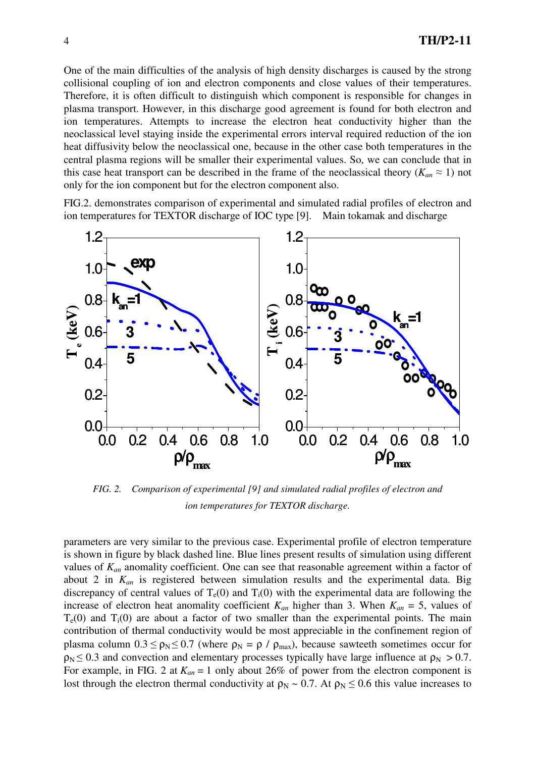One of the main difficulties of the analysis of high density discharges is caused by the strong collisional coupling of ion and electron components and close values of their temperatures. Therefore, it is often difficult to distinguish which component is responsible for changes in plasma transport. However, in this discharge good agreement is found for both electron and ion temperatures. Attempts to increase the electron heat conductivity higher than the neoclassical level staying inside the experimental errors interval required reduction of the ion heat diffusivity below the neoclassical one, because in the other case both temperatures in the central plasma regions will be smaller their experimental values. So, we can conclude that in this case heat transport can be described in the frame of the neoclassical theory ( $K_{an} \approx 1$ ) not only for the ion component but for the electron component also.

FIG.2. demonstrates comparison of experimental and simulated radial profiles of electron and ion temperatures for TEXTOR discharge of IOC type [9]. Main tokamak and discharge



*FIG. 2. Comparison of experimental [9] and simulated radial profiles of electron and ion temperatures for TEXTOR discharge.*

parameters are very similar to the previous case. Experimental profile of electron temperature is shown in figure by black dashed line. Blue lines present results of simulation using different values of *Kan* anomality coefficient. One can see that reasonable agreement within a factor of about 2 in *Kan* is registered between simulation results and the experimental data. Big discrepancy of central values of  $T_e(0)$  and  $T_i(0)$  with the experimental data are following the increase of electron heat anomality coefficient  $K_{an}$  higher than 3. When  $K_{an} = 5$ , values of  $T<sub>e</sub>(0)$  and  $T<sub>i</sub>(0)$  are about a factor of two smaller than the experimental points. The main contribution of thermal conductivity would be most appreciable in the confinement region of plasma column  $0.3 \le \rho_N \le 0.7$  (where  $\rho_N = \rho / \rho_{max}$ ), because sawteeth sometimes occur for  $\rho_N \le 0.3$  and convection and elementary processes typically have large influence at  $\rho_N > 0.7$ . For example, in FIG. 2 at  $K_{an} = 1$  only about 26% of power from the electron component is lost through the electron thermal conductivity at  $\rho_N \sim 0.7$ . At  $\rho_N \le 0.6$  this value increases to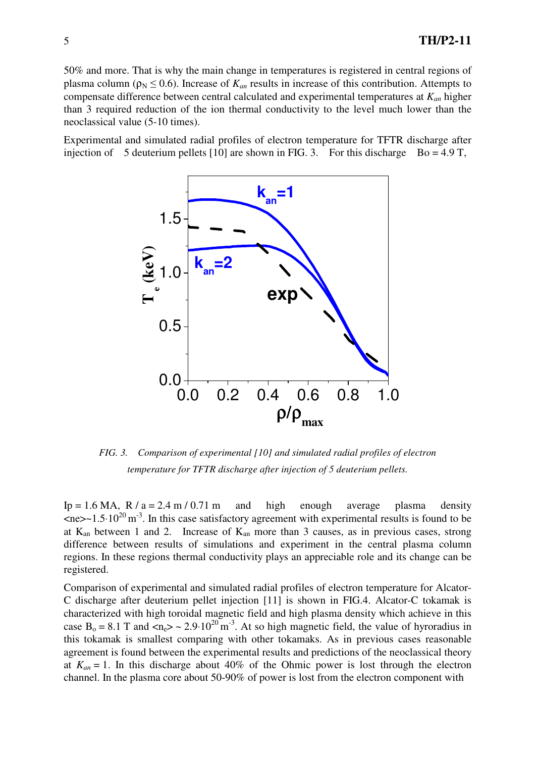50% and more. That is why the main change in temperatures is registered in central regions of plasma column ( $\rho_N \le 0.6$ ). Increase of  $K_{an}$  results in increase of this contribution. Attempts to compensate difference between central calculated and experimental temperatures at *Kan* higher than 3 required reduction of the ion thermal conductivity to the level much lower than the neoclassical value (5-10 times).

Experimental and simulated radial profiles of electron temperature for TFTR discharge after injection of 5 deuterium pellets [10] are shown in FIG. 3. For this discharge Bo = 4.9 T,



*FIG. 3. Comparison of experimental [10] and simulated radial profiles of electron temperature for TFTR discharge after injection of 5 deuterium pellets.* 

Ip = 1.6 MA, R /  $a = 2.4$  m / 0.71 m and high enough average plasma density  $\langle$ ne>~1.5⋅10<sup>20</sup> m<sup>-3</sup>. In this case satisfactory agreement with experimental results is found to be at  $K_{an}$  between 1 and 2. Increase of  $K_{an}$  more than 3 causes, as in previous cases, strong difference between results of simulations and experiment in the central plasma column regions. In these regions thermal conductivity plays an appreciable role and its change can be registered.

Comparison of experimental and simulated radial profiles of electron temperature for Alcator-C discharge after deuterium pellet injection [11] is shown in FIG.4. Alcator-C tokamak is characterized with high toroidal magnetic field and high plasma density which achieve in this case B<sub>o</sub> = 8.1 T and <n<sub>e</sub>> ~ 2.9⋅10<sup>20</sup> m<sup>-3</sup>. At so high magnetic field, the value of hyroradius in this tokamak is smallest comparing with other tokamaks. As in previous cases reasonable agreement is found between the experimental results and predictions of the neoclassical theory at  $K_{an} = 1$ . In this discharge about 40% of the Ohmic power is lost through the electron channel. In the plasma core about 50-90% of power is lost from the electron component with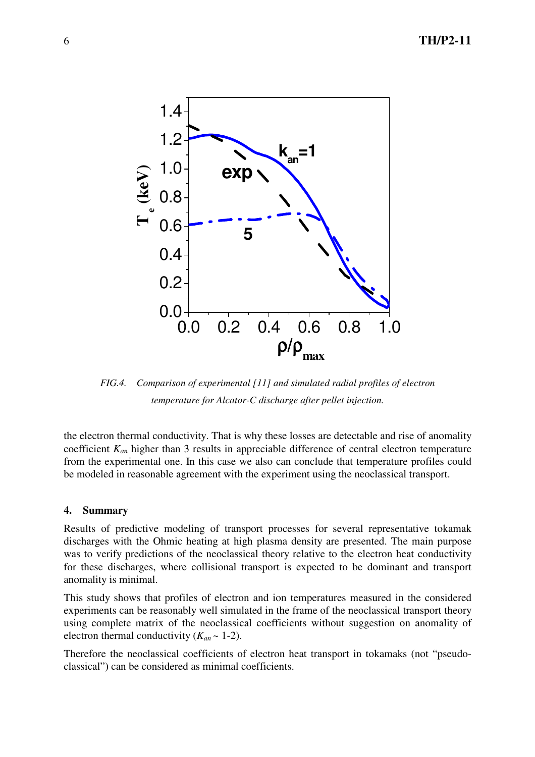

*FIG.4. Comparison of experimental [11] and simulated radial profiles of electron temperature for Alcator-C discharge after pellet injection.* 

the electron thermal conductivity. That is why these losses are detectable and rise of anomality coefficient *Kan* higher than 3 results in appreciable difference of central electron temperature from the experimental one. In this case we also can conclude that temperature profiles could be modeled in reasonable agreement with the experiment using the neoclassical transport.

## **4. Summary**

Results of predictive modeling of transport processes for several representative tokamak discharges with the Ohmic heating at high plasma density are presented. The main purpose was to verify predictions of the neoclassical theory relative to the electron heat conductivity for these discharges, where collisional transport is expected to be dominant and transport anomality is minimal.

This study shows that profiles of electron and ion temperatures measured in the considered experiments can be reasonably well simulated in the frame of the neoclassical transport theory using complete matrix of the neoclassical coefficients without suggestion on anomality of electron thermal conductivity  $(K_{an} \sim 1-2)$ .

Therefore the neoclassical coefficients of electron heat transport in tokamaks (not "pseudoclassical") can be considered as minimal coefficients.